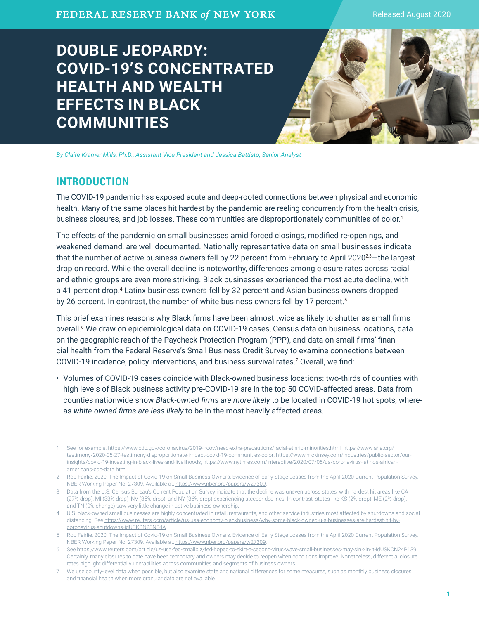Released August 2020

# **DOUBLE JEOPARDY: COVID-19'S CONCENTRATED HEALTH AND WEALTH EFFECTS IN BLACK COMMUNITIES**

*By Claire Kramer Mills, Ph.D., Assistant Vice President and Jessica Battisto, Senior Analyst*

# **INTRODUCTION**

The COVID-19 pandemic has exposed acute and deep-rooted connections between physical and economic health. Many of the same places hit hardest by the pandemic are reeling concurrently from the health crisis, business closures, and job losses. These communities are disproportionately communities of color.<sup>1</sup>

The effects of the pandemic on small businesses amid forced closings, modified re-openings, and weakened demand, are well documented. Nationally representative data on small businesses indicate that the number of active business owners fell by 22 percent from February to April 2020<sup>2,3</sup>—the largest drop on record. While the overall decline is noteworthy, differences among closure rates across racial and ethnic groups are even more striking. Black businesses experienced the most acute decline, with a 41 percent drop.4 Latinx business owners fell by 32 percent and Asian business owners dropped by 26 percent. In contrast, the number of white business owners fell by 17 percent.<sup>5</sup>

This brief examines reasons why Black firms have been almost twice as likely to shutter as small firms overall.6 We draw on epidemiological data on COVID-19 cases, Census data on business locations, data on the geographic reach of the Paycheck Protection Program (PPP), and data on small firms' financial health from the Federal Reserve's Small Business Credit Survey to examine connections between COVID-19 incidence, policy interventions, and business survival rates.<sup>7</sup> Overall, we find:

• Volumes of COVID-19 cases coincide with Black-owned business locations: two-thirds of counties with high levels of Black business activity pre-COVID-19 are in the top 50 COVID-affected areas. Data from counties nationwide show *Black-owned firms are more likely* to be located in COVID-19 hot spots, whereas *white-owned firms are less likely* to be in the most heavily affected areas.

<sup>1</sup> See for example: [https://www.cdc.gov/coronavirus/2019-ncov/need-extra-precautions/racial-ethnic-minorities.html;](https://www.cdc.gov/coronavirus/2019-ncov/need-extra-precautions/racial-ethnic-minorities.html) [https://www.aha.org/](https://www.aha.org/testimony/2020-05-27-testimony-disproportionate-impact-covid-19-communities-color) [testimony/2020-05-27-testimony-disproportionate-impact-covid-19-communities-color;](https://www.aha.org/testimony/2020-05-27-testimony-disproportionate-impact-covid-19-communities-color) [https://www.mckinsey.com/industries/public-sector/our](https://www.mckinsey.com/industries/public-sector/our-insights/covid-19-investing-in-black-lives-and-livelihoods)[insights/covid-19-investing-in-black-lives-and-livelihoods;](https://www.mckinsey.com/industries/public-sector/our-insights/covid-19-investing-in-black-lives-and-livelihoods) [https://www.nytimes.com/interactive/2020/07/05/us/coronavirus-latinos-african](https://www.nytimes.com/interactive/2020/07/05/us/coronavirus-latinos-african-americans-cdc-data.html)[americans-cdc-data.html](https://www.nytimes.com/interactive/2020/07/05/us/coronavirus-latinos-african-americans-cdc-data.html).

<sup>2</sup> Rob Fairlie, 2020. The Impact of Covid-19 on Small Business Owners: Evidence of Early Stage Losses from the April 2020 Current Population Survey. NBER Working Paper No. 27309. Available at: [https://www.nber.org/papers/w27309.](https://www.nber.org/papers/w27309)

<sup>3</sup> Data from the U.S. Census Bureau's Current Population Survey indicate that the decline was uneven across states, with hardest hit areas like CA (27% drop), MI (33% drop), NV (35% drop), and NY (36% drop) experiencing steeper declines. In contrast, states like KS (2% drop), ME (2% drop), and TN (0% change) saw very little change in active business ownership.

<sup>4</sup> U.S. black-owned small businesses are highly concentrated in retail, restaurants, and other service industries most affected by shutdowns and social distancing. See [https://www.reuters.com/article/us-usa-economy-blackbusiness/why-some-black-owned-u-s-businesses-are-hardest-hit-by](https://www.reuters.com/article/us-usa-economy-blackbusiness/why-some-black-owned-u-s-businesses-are-hardest-hit-by-coronavirus-shutdowns-idUSKBN23N34A)[coronavirus-shutdowns-idUSKBN23N34A](https://www.reuters.com/article/us-usa-economy-blackbusiness/why-some-black-owned-u-s-businesses-are-hardest-hit-by-coronavirus-shutdowns-idUSKBN23N34A).

<sup>5</sup> Rob Fairlie, 2020. The Impact of Covid-19 on Small Business Owners: Evidence of Early Stage Losses from the April 2020 Current Population Survey. NBER Working Paper No. 27309. Available at: [https://www.nber.org/papers/w27309.](https://www.nber.org/papers/w27309)

<sup>6</sup> See <https://www.reuters.com/article/us-usa-fed-smallbiz/fed-hoped-to-skirt-a-second-virus-wave-small-businesses-may-sink-in-it-idUSKCN24P139>. Certainly, many closures to date have been temporary and owners may decide to reopen when conditions improve. Nonetheless, differential closure rates highlight differential vulnerabilities across communities and segments of business owners.

<sup>7</sup> We use county-level data when possible, but also examine state and national differences for some measures, such as monthly business closures and financial health when more granular data are not available.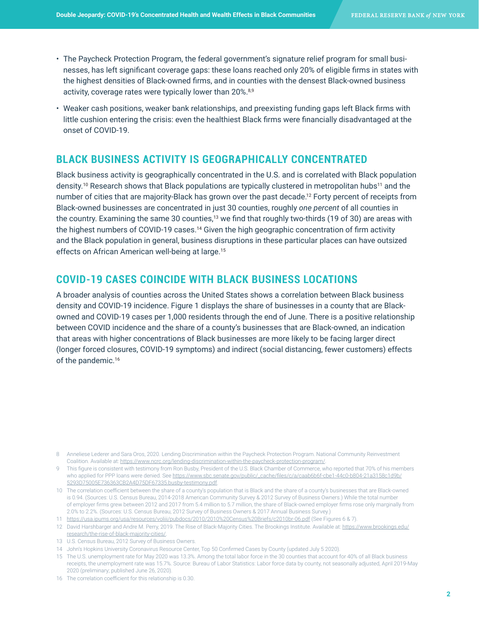- The Paycheck Protection Program, the federal government's signature relief program for small businesses, has left significant coverage gaps: these loans reached only 20% of eligible firms in states with the highest densities of Black-owned firms, and in counties with the densest Black-owned business activity, coverage rates were typically lower than 20%.<sup>8,9</sup>
- Weaker cash positions, weaker bank relationships, and preexisting funding gaps left Black firms with little cushion entering the crisis: even the healthiest Black firms were financially disadvantaged at the onset of COVID-19.

# **BLACK BUSINESS ACTIVITY IS GEOGRAPHICALLY CONCENTRATED**

Black business activity is geographically concentrated in the U.S. and is correlated with Black population density.<sup>10</sup> Research shows that Black populations are typically clustered in metropolitan hubs<sup>11</sup> and the number of cities that are majority-Black has grown over the past decade.12 Forty percent of receipts from Black-owned businesses are concentrated in just 30 counties, roughly *one percent* of all counties in the country. Examining the same 30 counties,<sup>13</sup> we find that roughly two-thirds (19 of 30) are areas with the highest numbers of COVID-19 cases.<sup>14</sup> Given the high geographic concentration of firm activity and the Black population in general, business disruptions in these particular places can have outsized effects on African American well-being at large.<sup>15</sup>

# **COVID-19 CASES COINCIDE WITH BLACK BUSINESS LOCATIONS**

A broader analysis of counties across the United States shows a correlation between Black business density and COVID-19 incidence. Figure 1 displays the share of businesses in a county that are Blackowned and COVID-19 cases per 1,000 residents through the end of June. There is a positive relationship between COVID incidence and the share of a county's businesses that are Black-owned, an indication that areas with higher concentrations of Black businesses are more likely to be facing larger direct (longer forced closures, COVID-19 symptoms) and indirect (social distancing, fewer customers) effects of the pandemic.<sup>16</sup>

<sup>8</sup> Anneliese Lederer and Sara Oros, 2020. Lending Discrimination within the Paycheck Protection Program. National Community Reinvestment Coalition. Available at: [https://www.ncrc.org/lending-discrimination-within-the-paycheck-protection-program/.](https://www.ncrc.org/lending-discrimination-within-the-paycheck-protection-program/)

<sup>9</sup> This figure is consistent with testimony from Ron Busby, President of the U.S. Black Chamber of Commerce, who reported that 70% of his members who applied for PPP loans were denied. See [https://www.sbc.senate.gov/public/\\_cache/files/c/a/caab6b6f-cbe1-44c0-b804-21a3158c1d9b/](https://www.sbc.senate.gov/public/_cache/files/c/a/caab6b6f-cbe1-44c0-b804-21a3158c1d9b/5293D75005E736363CB2A4D75DF67335.busby-testimony.pdf) [5293D75005E736363CB2A4D75DF67335.busby-testimony.pdf.](https://www.sbc.senate.gov/public/_cache/files/c/a/caab6b6f-cbe1-44c0-b804-21a3158c1d9b/5293D75005E736363CB2A4D75DF67335.busby-testimony.pdf)

<sup>10</sup> The correlation coefficient between the share of a county's population that is Black and the share of a county's businesses that are Black-owned is 0.94. (Sources: U.S. Census Bureau, 2014-2018 American Community Survey & 2012 Survey of Business Owners.) While the total number of employer firms grew between 2012 and 2017 from 5.4 million to 5.7 million, the share of Black-owned employer firms rose only marginally from 2.0% to 2.2%. (Sources: U.S. Census Bureau, 2012 Survey of Business Owners & 2017 Annual Business Survey.)

<sup>11</sup> <https://usa.ipums.org/usa/resources/voliii/pubdocs/2010/2010%20Census%20Briefs/c2010br-06.pdf> (See Figures 6 & 7).

<sup>12</sup> David Harshbarger and Andre M. Perry, 2019. The Rise of Black-Majority Cities. The Brookings Institute. Available at: [https://www.brookings.edu/](https://www.brookings.edu/research/the-rise-of-black-majority-cities/) [research/the-rise-of-black-majority-cities/](https://www.brookings.edu/research/the-rise-of-black-majority-cities/).

<sup>13</sup> U.S. Census Bureau, 2012 Survey of Business Owners.

<sup>14</sup> John's Hopkins University Coronavirus Resource Center, Top 50 Confirmed Cases by County (updated July 5 2020).

<sup>15</sup> The U.S. unemployment rate for May 2020 was 13.3%. Among the total labor force in the 30 counties that account for 40% of all Black business receipts, the unemployment rate was 15.7%. Source: Bureau of Labor Statistics: Labor force data by county, not seasonally adjusted, April 2019-May 2020 (preliminary; published June 26, 2020).

<sup>16</sup> The correlation coefficient for this relationship is 0.30.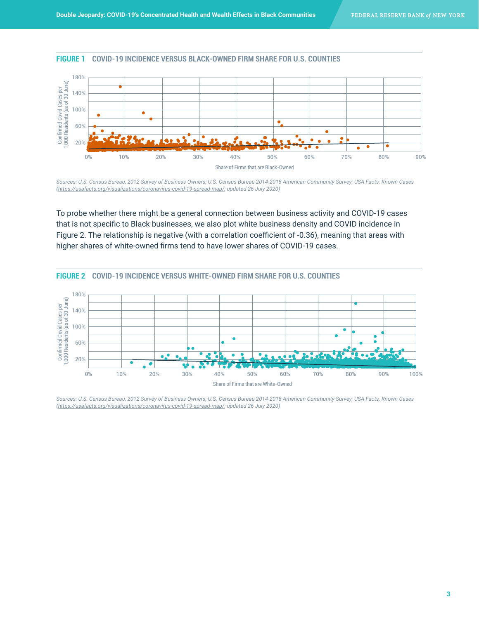#### **FIGURE 1 COVID-19 INCIDENCE VERSUS BLACK-OWNED FIRM SHARE FOR U.S. COUNTIES**



*Sources: U.S. Census Bureau, 2012 Survey of Business Owners; U.S. Census Bureau 2014-2018 American Community Survey; USA Facts: Known Cases ([https://usafacts.org/visualizations/coronavirus-covid-19-spread-map/;](https://usafacts.org/visualizations/coronavirus-covid-19-spread-map/) updated 26 July 2020)*

To probe whether there might be a general connection between business activity and COVID-19 cases that is not specific to Black businesses, we also plot white business density and COVID incidence in Figure 2. The relationship is negative (with a correlation coefficient of -0.36), meaning that areas with higher shares of white-owned firms tend to have lower shares of COVID-19 cases.



0%

*Sources: U.S. Census Bureau, 2012 Survey of Business Owners; U.S. Census Bureau 2014-2018 American Community Survey; USA Facts: Known Cases ([https://usafacts.org/visualizations/coronavirus-covid-19-spread-map/;](https://usafacts.org/visualizations/coronavirus-covid-19-spread-map/) updated 26 July 2020)*

Share of Firms that are White-Owned

10% 20% 30% 40% 50% 60% 70% 80% 90% 100%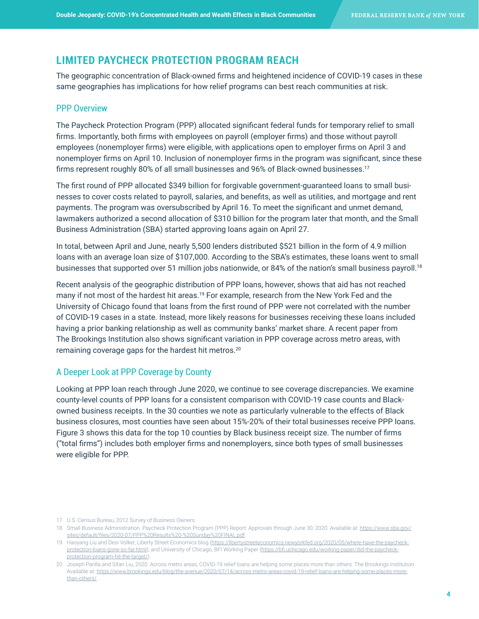### **LIMITED PAYCHECK PROTECTION PROGRAM REACH**

The geographic concentration of Black-owned firms and heightened incidence of COVID-19 cases in these same geographies has implications for how relief programs can best reach communities at risk.

### PPP Overview

The Paycheck Protection Program (PPP) allocated significant federal funds for temporary relief to small firms. Importantly, both firms with employees on payroll (employer firms) and those without payroll employees (nonemployer firms) were eligible, with applications open to employer firms on April 3 and nonemployer firms on April 10. Inclusion of nonemployer firms in the program was significant, since these firms represent roughly 80% of all small businesses and 96% of Black-owned businesses.<sup>17</sup>

The first round of PPP allocated \$349 billion for forgivable government-guaranteed loans to small businesses to cover costs related to payroll, salaries, and benefits, as well as utilities, and mortgage and rent payments. The program was oversubscribed by April 16. To meet the significant and unmet demand, lawmakers authorized a second allocation of \$310 billion for the program later that month, and the Small Business Administration (SBA) started approving loans again on April 27.

In total, between April and June, nearly 5,500 lenders distributed \$521 billion in the form of 4.9 million loans with an average loan size of \$107,000. According to the SBA's estimates, these loans went to small businesses that supported over 51 million jobs nationwide, or 84% of the nation's small business payroll.<sup>18</sup>

Recent analysis of the geographic distribution of PPP loans, however, shows that aid has not reached many if not most of the hardest hit areas.<sup>19</sup> For example, research from the New York Fed and the University of Chicago found that loans from the first round of PPP were not correlated with the number of COVID-19 cases in a state. Instead, more likely reasons for businesses receiving these loans included having a prior banking relationship as well as community banks' market share. A recent paper from The Brookings Institution also shows significant variation in PPP coverage across metro areas, with remaining coverage gaps for the hardest hit metros.20

#### A Deeper Look at PPP Coverage by County

Looking at PPP loan reach through June 2020, we continue to see coverage discrepancies. We examine county-level counts of PPP loans for a consistent comparison with COVID-19 case counts and Blackowned business receipts. In the 30 counties we note as particularly vulnerable to the effects of Black business closures, most counties have seen about 15%-20% of their total businesses receive PPP loans. Figure 3 shows this data for the top 10 counties by Black business receipt size. The number of firms ("total firms") includes both employer firms and nonemployers, since both types of small businesses were eligible for PPP.

<sup>17</sup> U.S. Census Bureau, 2012 Survey of Business Owners.

<sup>18</sup> Small Business Administration. Paycheck Protection Program (PPP) Report: Approvals through June 30, 2020. Available at: [https://www.sba.gov/](https://www.sba.gov/sites/default/files/2020-07/PPP%20Results%20-%20Sunday%20FINAL.pdf) [sites/default/files/2020-07/PPP%20Results%20-%20Sunday%20FINAL.pdf](https://www.sba.gov/sites/default/files/2020-07/PPP%20Results%20-%20Sunday%20FINAL.pdf).

<sup>19</sup> Haoyang Liu and Desi Volker, Liberty Street Economics blog ([https://libertystreeteconomics.newyorkfed.org/2020/05/where-have-the-paycheck](https://libertystreeteconomics.newyorkfed.org/2020/05/where-have-the-paycheck-protection-loans-gone-so-far.html)[protection-loans-gone-so-far.html\)](https://libertystreeteconomics.newyorkfed.org/2020/05/where-have-the-paycheck-protection-loans-gone-so-far.html); and University of Chicago, BFI Working Paper ([https://bfi.uchicago.edu/working-paper/did-the-paycheck](https://bfi.uchicago.edu/working-paper/did-the-paycheck-protection-program-hit-the-target/)[protection-program-hit-the-target/\)](https://bfi.uchicago.edu/working-paper/did-the-paycheck-protection-program-hit-the-target/).

<sup>20</sup> Joseph Parilla and Sifan Liu, 2020. Across metro areas, COVID-19 relief loans are helping some places more than others. The Brookings Institution. Available at: [https://www.brookings.edu/blog/the-avenue/2020/07/14/across-metro-areas-covid-19-relief-loans-are-helping-some-places-more](https://www.brookings.edu/blog/the-avenue/2020/07/14/across-metro-areas-covid-19-relief-loans-are-helping-some-places-more-than-others/)[than-others/](https://www.brookings.edu/blog/the-avenue/2020/07/14/across-metro-areas-covid-19-relief-loans-are-helping-some-places-more-than-others/).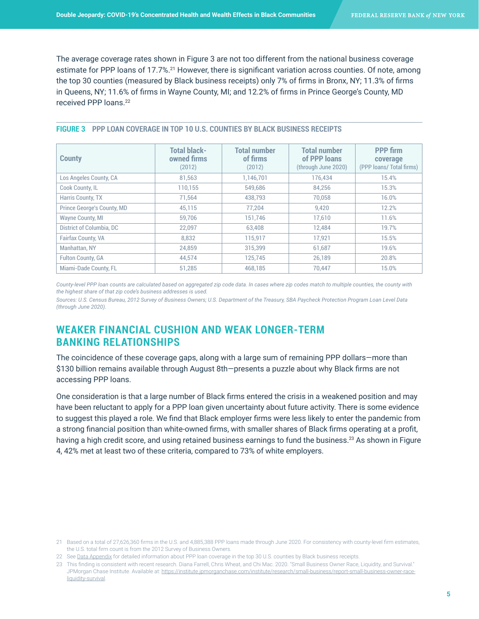The average coverage rates shown in Figure 3 are not too different from the national business coverage estimate for PPP loans of 17.7%.<sup>21</sup> However, there is significant variation across counties. Of note, among the top 30 counties (measured by Black business receipts) only 7% of firms in Bronx, NY; 11.3% of firms in Queens, NY; 11.6% of firms in Wayne County, MI; and 12.2% of firms in Prince George's County, MD received PPP loans.22

| FIGURE 3 PPP LOAN COVERAGE IN TOP 10 U.S. COUNTIES BY BLACK BUSINESS RECEIPTS |  |  |
|-------------------------------------------------------------------------------|--|--|
|                                                                               |  |  |

| <b>County</b>              | <b>Total black-</b><br>owned firms<br>(2012) | Total number<br>of firms<br>(2012) | Total number<br>of PPP loans<br>(through June 2020) | <b>PPP</b> firm<br>coverage<br>(PPP loans/ Total firms) |
|----------------------------|----------------------------------------------|------------------------------------|-----------------------------------------------------|---------------------------------------------------------|
| Los Angeles County, CA     | 81,563                                       | 1,146,701                          | 176,434                                             | 15.4%                                                   |
| Cook County, IL            | 110.155                                      | 549.686                            | 84.256                                              | 15.3%                                                   |
| Harris County, TX          | 71.564                                       | 438,793                            | 70,058                                              | 16.0%                                                   |
| Prince George's County, MD | 45,115                                       | 77.204                             | 9,420                                               | 12.2%                                                   |
| <b>Wayne County, MI</b>    | 59.706                                       | 151.746                            | 17,610                                              | 11.6%                                                   |
| District of Columbia, DC   | 22,097                                       | 63,408                             | 12,484                                              | 19.7%                                                   |
| <b>Fairfax County, VA</b>  | 8.832                                        | 115,917                            | 17,921                                              | 15.5%                                                   |
| Manhattan, NY              | 24.859                                       | 315.399                            | 61,687                                              | 19.6%                                                   |
| <b>Fulton County, GA</b>   | 44.574                                       | 125,745                            | 26,189                                              | 20.8%                                                   |
| Miami-Dade County, FL      | 51.285                                       | 468.185                            | 70.447                                              | 15.0%                                                   |

*County-level PPP loan counts are calculated based on aggregated zip code data. In cases where zip codes match to multiple counties, the county with the highest share of that zip code's business addresses is used.* 

*Sources: U.S. Census Bureau, 2012 Survey of Business Owners; U.S. Department of the Treasury, SBA Paycheck Protection Program Loan Level Data (through June 2020).*

# **WEAKER FINANCIAL CUSHION AND WEAK LONGER-TERM BANKING RELATIONSHIPS**

The coincidence of these coverage gaps, along with a large sum of remaining PPP dollars—more than \$130 billion remains available through August 8th—presents a puzzle about why Black firms are not accessing PPP loans.

One consideration is that a large number of Black firms entered the crisis in a weakened position and may have been reluctant to apply for a PPP loan given uncertainty about future activity. There is some evidence to suggest this played a role. We find that Black employer firms were less likely to enter the pandemic from a strong financial position than white-owned firms, with smaller shares of Black firms operating at a profit, having a high credit score, and using retained business earnings to fund the business.<sup>23</sup> As shown in Figure 4, 42% met at least two of these criteria, compared to 73% of white employers.

<sup>21</sup> Based on a total of 27,626,360 firms in the U.S. and 4,885,388 PPP loans made through June 2020. For consistency with county-level firm estimates, the U.S. total firm count is from the 2012 Survey of Business Owners.

<sup>22</sup> See [Data Appendix](https://www.fedsmallbusiness.org/medialibrary/FedSmallBusiness/files/2020/BlackBizEcosystem-Appendix) for detailed information about PPP loan coverage in the top 30 U.S. counties by Black business receipts.

<sup>23</sup> This finding is consistent with recent research. Diana Farrell, Chris Wheat, and Chi Mac. 2020. "Small Business Owner Race, Liquidity, and Survival." JPMorgan Chase Institute. Available at: [https://institute.jpmorganchase.com/institute/research/small-business/report-small-business-owner-race](https://institute.jpmorganchase.com/institute/research/small-business/report-small-business-owner-race-liquidity-survival)[liquidity-survival](https://institute.jpmorganchase.com/institute/research/small-business/report-small-business-owner-race-liquidity-survival).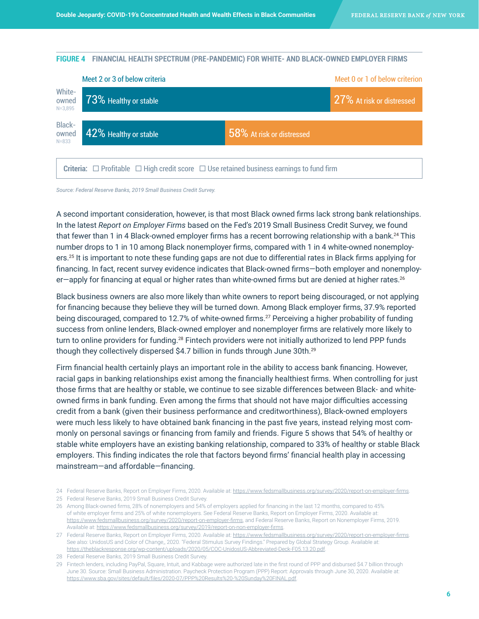#### **FIGURE 4 FINANCIAL HEALTH SPECTRUM (PRE-PANDEMIC) FOR WHITE- AND BLACK-OWNED EMPLOYER FIRMS**



*Source: Federal Reserve Banks, 2019 Small Business Credit Survey.*

A second important consideration, however, is that most Black owned firms lack strong bank relationships. In the latest *Report on Employer Firms* based on the Fed's 2019 Small Business Credit Survey, we found that fewer than 1 in 4 Black-owned employer firms has a recent borrowing relationship with a bank.<sup>24</sup> This number drops to 1 in 10 among Black nonemployer firms, compared with 1 in 4 white-owned nonemployers.25 It is important to note these funding gaps are not due to differential rates in Black firms applying for financing. In fact, recent survey evidence indicates that Black-owned firms—both employer and nonemployer-apply for financing at equal or higher rates than white-owned firms but are denied at higher rates.<sup>26</sup>

Black business owners are also more likely than white owners to report being discouraged, or not applying for financing because they believe they will be turned down. Among Black employer firms, 37.9% reported being discouraged, compared to 12.7% of white-owned firms.<sup>27</sup> Perceiving a higher probability of funding success from online lenders, Black-owned employer and nonemployer firms are relatively more likely to turn to online providers for funding.28 Fintech providers were not initially authorized to lend PPP funds though they collectively dispersed \$4.7 billion in funds through June 30th.<sup>29</sup>

Firm financial health certainly plays an important role in the ability to access bank financing. However, racial gaps in banking relationships exist among the financially healthiest firms. When controlling for just those firms that are healthy or stable, we continue to see sizable differences between Black- and whiteowned firms in bank funding. Even among the firms that should not have major difficulties accessing credit from a bank (given their business performance and creditworthiness), Black-owned employers were much less likely to have obtained bank financing in the past five years, instead relying most commonly on personal savings or financing from family and friends. Figure 5 shows that 54% of healthy or stable white employers have an existing banking relationship, compared to 33% of healthy or stable Black employers. This finding indicates the role that factors beyond firms' financial health play in accessing mainstream—and affordable—financing.

25 Federal Reserve Banks, 2019 Small Business Credit Survey.

<sup>24</sup> Federal Reserve Banks, Report on Employer Firms, 2020. Available at: <https://www.fedsmallbusiness.org/survey/2020/report-on-employer-firms>.

<sup>26</sup> Among Black-owned firms, 28% of nonemployers and 54% of employers applied for financing in the last 12 months, compared to 45% of white employer firms and 25% of white nonemployers. See Federal Reserve Banks, Report on Employer Firms, 2020. Available at: <https://www.fedsmallbusiness.org/survey/2020/report-on-employer-firms>, and Federal Reserve Banks, Report on Nonemployer Firms, 2019. Available at: <https://www.fedsmallbusiness.org/survey/2019/report-on-non-employer-firms>.

<sup>27</sup> Federal Reserve Banks, Report on Employer Firms, 2020. Available at: <https://www.fedsmallbusiness.org/survey/2020/report-on-employer-firms>. See also: UnidosUS and Color of Change,, 2020. "Federal Stimulus Survey Findings." Prepared by Global Strategy Group. Available at: <https://theblackresponse.org/wp-content/uploads/2020/05/COC-UnidosUS-Abbreviated-Deck-F05.13.20.pdf>.

<sup>28</sup> Federal Reserve Banks, 2019 Small Business Credit Survey.

<sup>29</sup> Fintech lenders, including PayPal, Square, Intuit, and Kabbage were authorized late in the first round of PPP and disbursed \$4.7 billion through June 30. Source: Small Business Administration. Paycheck Protection Program (PPP) Report: Approvals through June 30, 2020. Available at: <https://www.sba.gov/sites/default/files/2020-07/PPP%20Results%20-%20Sunday%20FINAL.pdf>.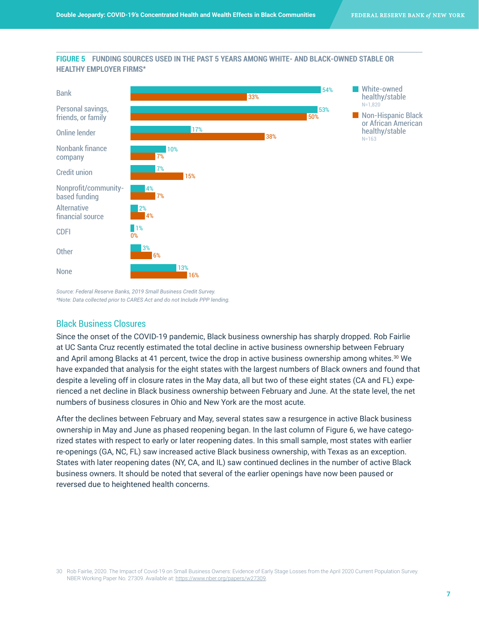### **FIGURE 5 FUNDING SOURCES USED IN THE PAST 5 YEARS AMONG WHITE- AND BLACK-OWNED STABLE OR HEALTHY EMPLOYER FIRMS\***



*Source: Federal Reserve Banks, 2019 Small Business Credit Survey. \*Note: Data collected prior to CARES Act and do not Include PPP lending.*

### Black Business Closures

Since the onset of the COVID-19 pandemic, Black business ownership has sharply dropped. Rob Fairlie at UC Santa Cruz recently estimated the total decline in active business ownership between February and April among Blacks at 41 percent, twice the drop in active business ownership among whites.<sup>30</sup> We have expanded that analysis for the eight states with the largest numbers of Black owners and found that despite a leveling off in closure rates in the May data, all but two of these eight states (CA and FL) experienced a net decline in Black business ownership between February and June. At the state level, the net numbers of business closures in Ohio and New York are the most acute.

After the declines between February and May, several states saw a resurgence in active Black business ownership in May and June as phased reopening began. In the last column of Figure 6, we have categorized states with respect to early or later reopening dates. In this small sample, most states with earlier re-openings (GA, NC, FL) saw increased active Black business ownership, with Texas as an exception. States with later reopening dates (NY, CA, and IL) saw continued declines in the number of active Black business owners. It should be noted that several of the earlier openings have now been paused or reversed due to heightened health concerns.

<sup>30</sup> Rob Fairlie, 2020. The Impact of Covid-19 on Small Business Owners: Evidence of Early Stage Losses from the April 2020 Current Population Survey. NBER Working Paper No. 27309. Available at: [https://www.nber.org/papers/w27309.](https://www.nber.org/papers/w27309)